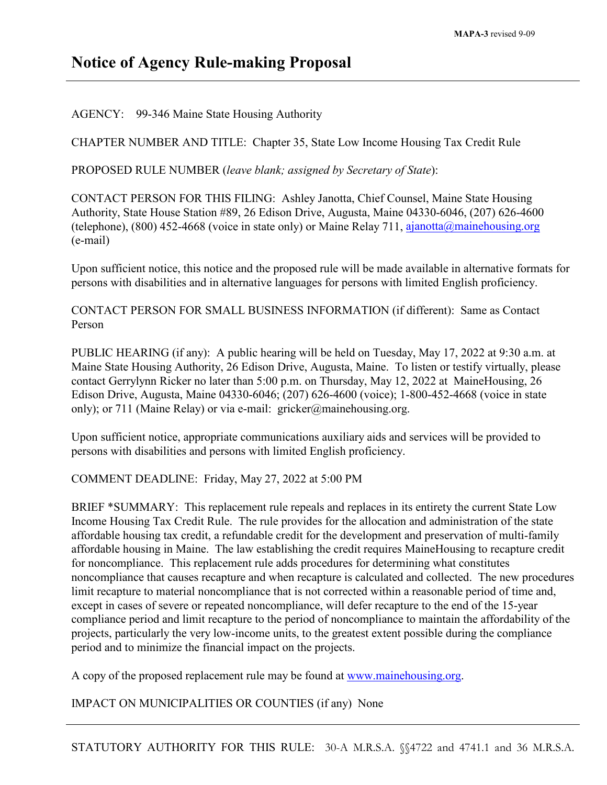## **Notice of Agency Rule-making Proposal**

AGENCY: 99-346 Maine State Housing Authority

CHAPTER NUMBER AND TITLE: Chapter 35, State Low Income Housing Tax Credit Rule

PROPOSED RULE NUMBER (*leave blank; assigned by Secretary of State*):

CONTACT PERSON FOR THIS FILING: Ashley Janotta, Chief Counsel, Maine State Housing Authority, State House Station #89, 26 Edison Drive, Augusta, Maine 04330-6046, (207) 626-4600 (telephone), (800) 452-4668 (voice in state only) or Maine Relay 711, [ajanotta@mainehousing.org](mailto:ajanotta@mainehousing.org) (e-mail)

Upon sufficient notice, this notice and the proposed rule will be made available in alternative formats for persons with disabilities and in alternative languages for persons with limited English proficiency.

CONTACT PERSON FOR SMALL BUSINESS INFORMATION (if different): Same as Contact Person

PUBLIC HEARING (if any): A public hearing will be held on Tuesday, May 17, 2022 at 9:30 a.m. at Maine State Housing Authority, 26 Edison Drive, Augusta, Maine. To listen or testify virtually, please contact Gerrylynn Ricker no later than 5:00 p.m. on Thursday, May 12, 2022 at MaineHousing, 26 Edison Drive, Augusta, Maine 04330-6046; (207) 626-4600 (voice); 1-800-452-4668 (voice in state only); or 711 (Maine Relay) or via e-mail: gricker@mainehousing.org.

Upon sufficient notice, appropriate communications auxiliary aids and services will be provided to persons with disabilities and persons with limited English proficiency.

COMMENT DEADLINE: Friday, May 27, 2022 at 5:00 PM

BRIEF \*SUMMARY: This replacement rule repeals and replaces in its entirety the current State Low Income Housing Tax Credit Rule. The rule provides for the allocation and administration of the state affordable housing tax credit, a refundable credit for the development and preservation of multi-family affordable housing in Maine. The law establishing the credit requires MaineHousing to recapture credit for noncompliance. This replacement rule adds procedures for determining what constitutes noncompliance that causes recapture and when recapture is calculated and collected. The new procedures limit recapture to material noncompliance that is not corrected within a reasonable period of time and, except in cases of severe or repeated noncompliance, will defer recapture to the end of the 15-year compliance period and limit recapture to the period of noncompliance to maintain the affordability of the projects, particularly the very low-income units, to the greatest extent possible during the compliance period and to minimize the financial impact on the projects.

A copy of the proposed replacement rule may be found at [www.mainehousing.org.](http://www.mainehousing.org/)

IMPACT ON MUNICIPALITIES OR COUNTIES (if any) None